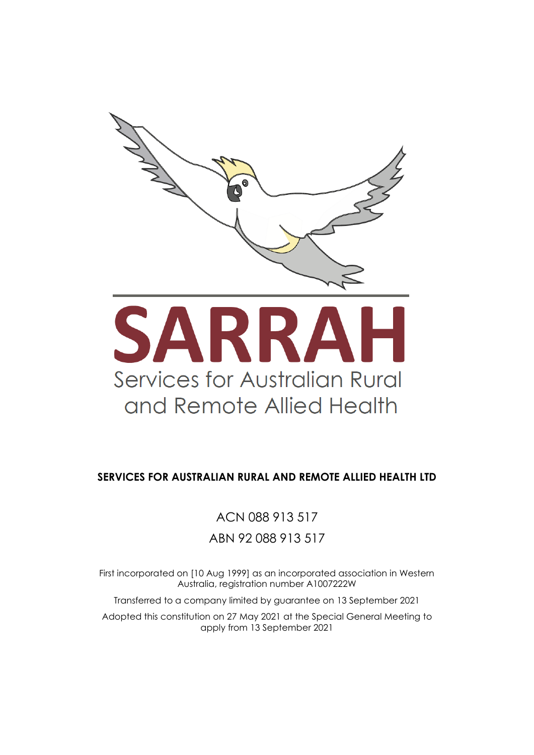

#### **SERVICES FOR AUSTRALIAN RURAL AND REMOTE ALLIED HEALTH LTD**

ACN 088 913 517 ABN 92 088 913 517

First incorporated on [10 Aug 1999] as an incorporated association in Western Australia, registration number A1007222W

Transferred to a company limited by guarantee on 13 September 2021

Adopted this constitution on 27 May 2021 at the Special General Meeting to apply from 13 September 2021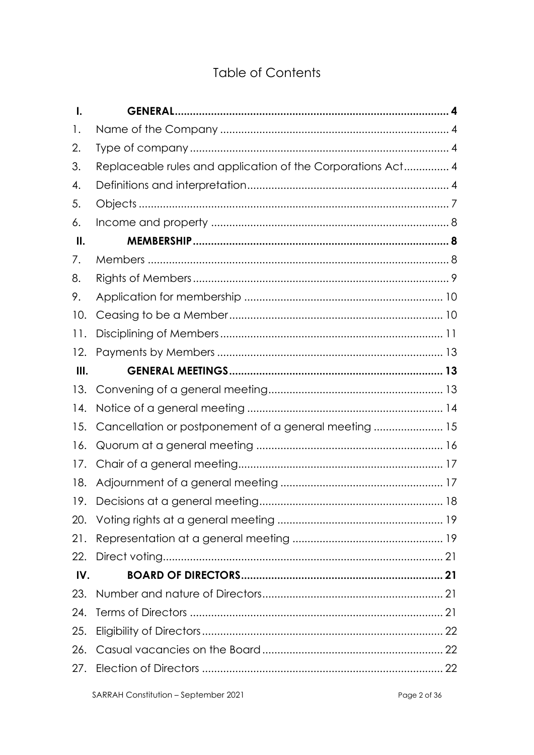# **Table of Contents**

| $\mathbf{l}$ . |                                                             |
|----------------|-------------------------------------------------------------|
| 1.             |                                                             |
| 2.             |                                                             |
| 3.             | Replaceable rules and application of the Corporations Act 4 |
| 4.             |                                                             |
| 5.             |                                                             |
| 6.             |                                                             |
| Ш.             |                                                             |
| 7.             |                                                             |
| 8.             |                                                             |
| 9.             |                                                             |
| 10.            |                                                             |
| 11.            |                                                             |
| 12.            |                                                             |
| III.           |                                                             |
| 13.            |                                                             |
| 14.            |                                                             |
| 15.            | Cancellation or postponement of a general meeting  15       |
| 16.            |                                                             |
| 17.            |                                                             |
| 18.            |                                                             |
| 19.            |                                                             |
| 20.            |                                                             |
| 21.            |                                                             |
| 22.            |                                                             |
| IV.            |                                                             |
| 23.            |                                                             |
| 24.            |                                                             |
| 25.            |                                                             |
| 26.            |                                                             |
| 27.            |                                                             |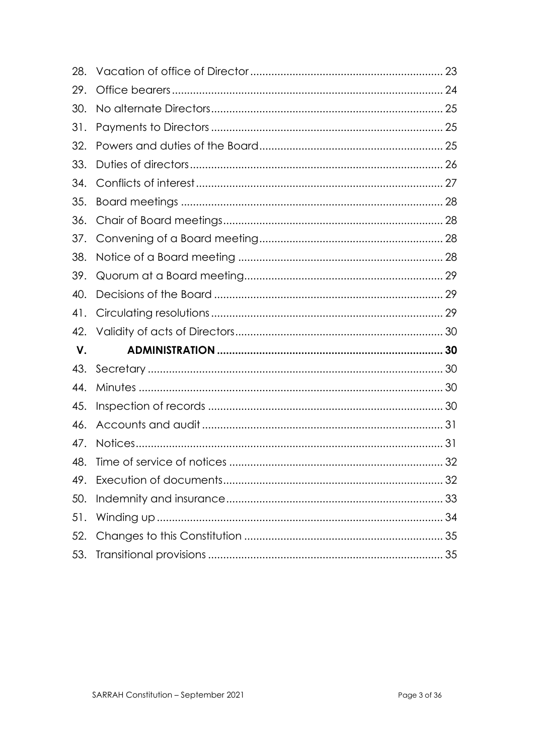| 28. |  |
|-----|--|
| 29. |  |
| 30. |  |
| 31. |  |
| 32. |  |
| 33. |  |
| 34. |  |
| 35. |  |
| 36. |  |
| 37. |  |
| 38. |  |
| 39. |  |
| 40. |  |
| 41. |  |
| 42. |  |
| V.  |  |
| 43. |  |
| 44. |  |
| 45. |  |
| 46. |  |
| 47. |  |
| 48. |  |
| 49. |  |
| 50. |  |
| 51. |  |
| 52. |  |
| 53. |  |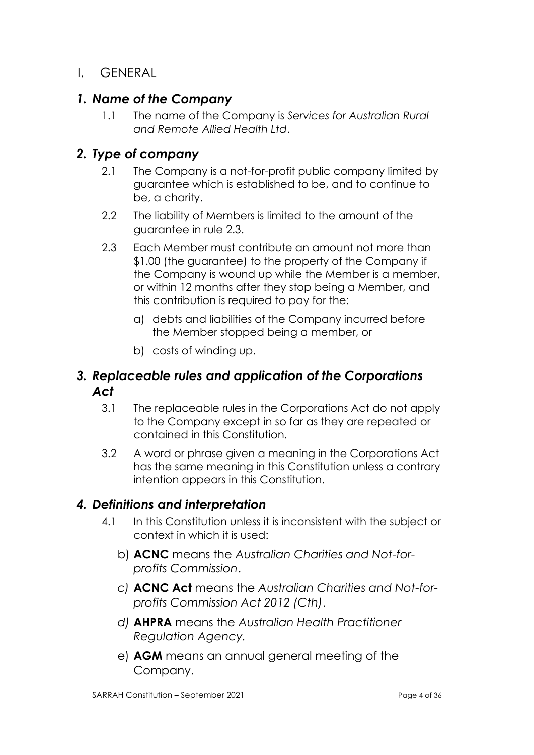I. GENERAL

### *1. Name of the Company*

1.1 The name of the Company is *Services for Australian Rural and Remote Allied Health Ltd*.

### *2. Type of company*

- 2.1 The Company is a not-for-profit public company limited by guarantee which is established to be, and to continue to be, a charity.
- 2.2 The liability of Members is limited to the amount of the guarantee in rule 2.3.
- 2.3 Each Member must contribute an amount not more than \$1.00 (the guarantee) to the property of the Company if the Company is wound up while the Member is a member, or within 12 months after they stop being a Member, and this contribution is required to pay for the:
	- a) debts and liabilities of the Company incurred before the Member stopped being a member, or
	- b) costs of winding up.

### *3. Replaceable rules and application of the Corporations Act*

- 3.1 The replaceable rules in the Corporations Act do not apply to the Company except in so far as they are repeated or contained in this Constitution.
- 3.2 A word or phrase given a meaning in the Corporations Act has the same meaning in this Constitution unless a contrary intention appears in this Constitution.

#### *4. Definitions and interpretation*

- 4.1 In this Constitution unless it is inconsistent with the subject or context in which it is used:
	- b) **ACNC** means the *Australian Charities and Not-forprofits Commission*.
	- *c)* **ACNC Act** means the *Australian Charities and Not-forprofits Commission Act 2012 (Cth)*.
	- *d)* **AHPRA** means the *Australian Health Practitioner Regulation Agency.*
	- e) **AGM** means an annual general meeting of the Company.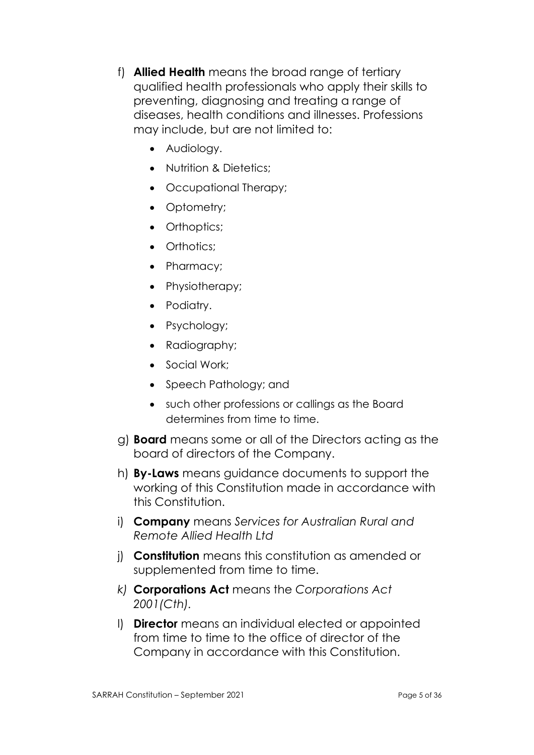- f) **Allied Health** means the broad range of tertiary qualified health professionals who apply their skills to preventing, diagnosing and treating a range of diseases, health conditions and illnesses. Professions may include, but are not limited to:
	- Audiology.
	- Nutrition & Dietetics:
	- Occupational Therapy;
	- Optometry;
	- Orthoptics;
	- Orthotics:
	- Pharmacy;
	- Physiotherapy;
	- Podiatry.
	- Psychology;
	- Radiography;
	- Social Work:
	- Speech Pathology; and
	- such other professions or callings as the Board determines from time to time.
- g) **Board** means some or all of the Directors acting as the board of directors of the Company.
- h) **By-Laws** means guidance documents to support the working of this Constitution made in accordance with this Constitution.
- i) **Company** means *Services for Australian Rural and Remote Allied Health Ltd*
- j) **Constitution** means this constitution as amended or supplemented from time to time.
- *k)* **Corporations Act** means the *Corporations Act 2001(Cth).*
- l) **Director** means an individual elected or appointed from time to time to the office of director of the Company in accordance with this Constitution.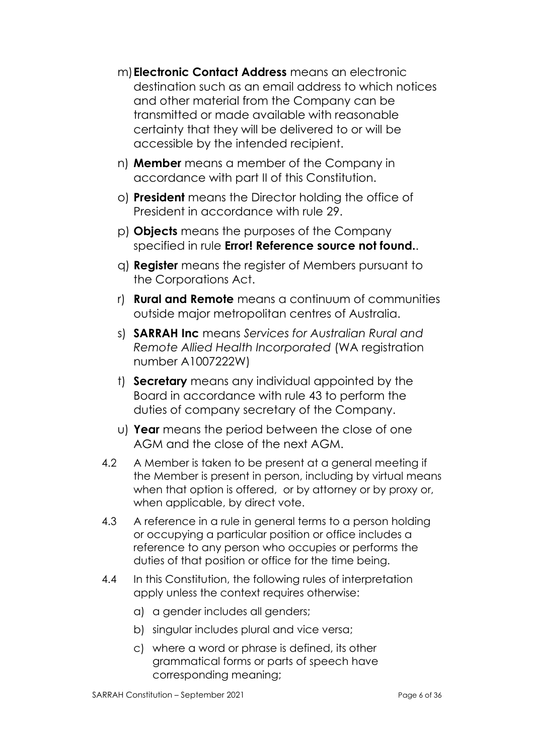- m)**Electronic Contact Address** means an electronic destination such as an email address to which notices and other material from the Company can be transmitted or made available with reasonable certainty that they will be delivered to or will be accessible by the intended recipient.
- n) **Member** means a member of the Company in accordance with part II of this Constitution.
- o) **President** means the Director holding the office of President in accordance with rule 29.
- p) **Objects** means the purposes of the Company specified in rule **Error! Reference source not found.**.
- q) **Register** means the register of Members pursuant to the Corporations Act.
- r) **Rural and Remote** means a continuum of communities outside major metropolitan centres of Australia.
- s) **SARRAH Inc** means *Services for Australian Rural and Remote Allied Health Incorporated* (WA registration number A1007222W)
- t) **Secretary** means any individual appointed by the Board in accordance with rule 43 to perform the duties of company secretary of the Company.
- u) **Year** means the period between the close of one AGM and the close of the next AGM.
- 4.2 A Member is taken to be present at a general meeting if the Member is present in person, including by virtual means when that option is offered, or by attorney or by proxy or, when applicable, by direct vote.
- 4.3 A reference in a rule in general terms to a person holding or occupying a particular position or office includes a reference to any person who occupies or performs the duties of that position or office for the time being.
- 4.4 In this Constitution, the following rules of interpretation apply unless the context requires otherwise:
	- a) a gender includes all genders;
	- b) singular includes plural and vice versa;
	- c) where a word or phrase is defined, its other grammatical forms or parts of speech have corresponding meaning;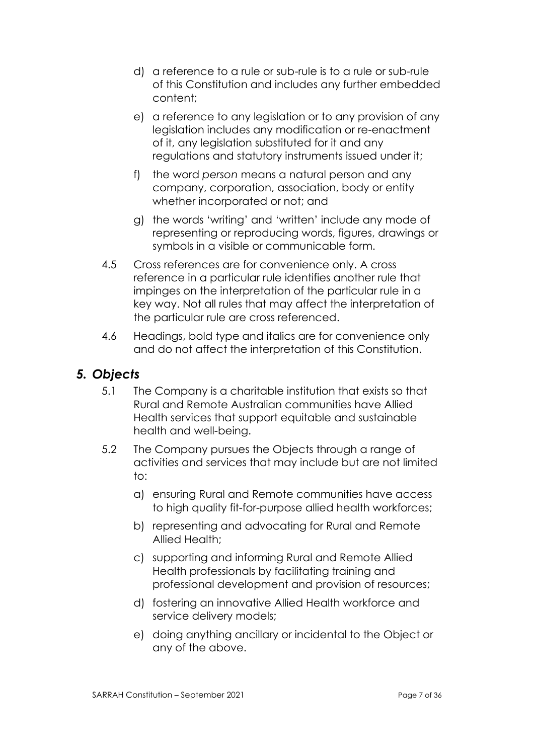- d) a reference to a rule or sub-rule is to a rule or sub-rule of this Constitution and includes any further embedded content;
- e) a reference to any legislation or to any provision of any legislation includes any modification or re-enactment of it, any legislation substituted for it and any regulations and statutory instruments issued under it;
- f) the word *person* means a natural person and any company, corporation, association, body or entity whether incorporated or not; and
- g) the words 'writing' and 'written' include any mode of representing or reproducing words, figures, drawings or symbols in a visible or communicable form.
- 4.5 Cross references are for convenience only. A cross reference in a particular rule identifies another rule that impinges on the interpretation of the particular rule in a key way. Not all rules that may affect the interpretation of the particular rule are cross referenced.
- 4.6 Headings, bold type and italics are for convenience only and do not affect the interpretation of this Constitution.

# *5. Objects*

- 5.1 The Company is a charitable institution that exists so that Rural and Remote Australian communities have Allied Health services that support equitable and sustainable health and well-being.
- 5.2 The Company pursues the Objects through a range of activities and services that may include but are not limited to:
	- a) ensuring Rural and Remote communities have access to high quality fit-for-purpose allied health workforces;
	- b) representing and advocating for Rural and Remote Allied Health;
	- c) supporting and informing Rural and Remote Allied Health professionals by facilitating training and professional development and provision of resources;
	- d) fostering an innovative Allied Health workforce and service delivery models;
	- e) doing anything ancillary or incidental to the Object or any of the above.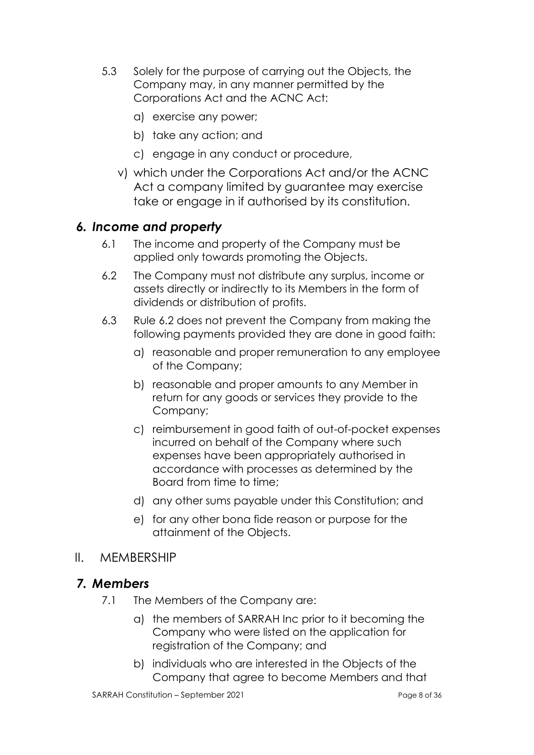- 5.3 Solely for the purpose of carrying out the Objects, the Company may, in any manner permitted by the Corporations Act and the ACNC Act:
	- a) exercise any power;
	- b) take any action; and
	- c) engage in any conduct or procedure,
	- v) which under the Corporations Act and/or the ACNC Act a company limited by guarantee may exercise take or engage in if authorised by its constitution.

#### *6. Income and property*

- 6.1 The income and property of the Company must be applied only towards promoting the Objects.
- 6.2 The Company must not distribute any surplus, income or assets directly or indirectly to its Members in the form of dividends or distribution of profits.
- 6.3 Rule 6.2 does not prevent the Company from making the following payments provided they are done in good faith:
	- a) reasonable and proper remuneration to any employee of the Company;
	- b) reasonable and proper amounts to any Member in return for any goods or services they provide to the Company;
	- c) reimbursement in good faith of out-of-pocket expenses incurred on behalf of the Company where such expenses have been appropriately authorised in accordance with processes as determined by the Board from time to time;
	- d) any other sums payable under this Constitution; and
	- e) for any other bona fide reason or purpose for the attainment of the Objects.

#### II. MEMBERSHIP

#### *7. Members*

- 7.1 The Members of the Company are:
	- a) the members of SARRAH Inc prior to it becoming the Company who were listed on the application for registration of the Company; and
	- b) individuals who are interested in the Objects of the Company that agree to become Members and that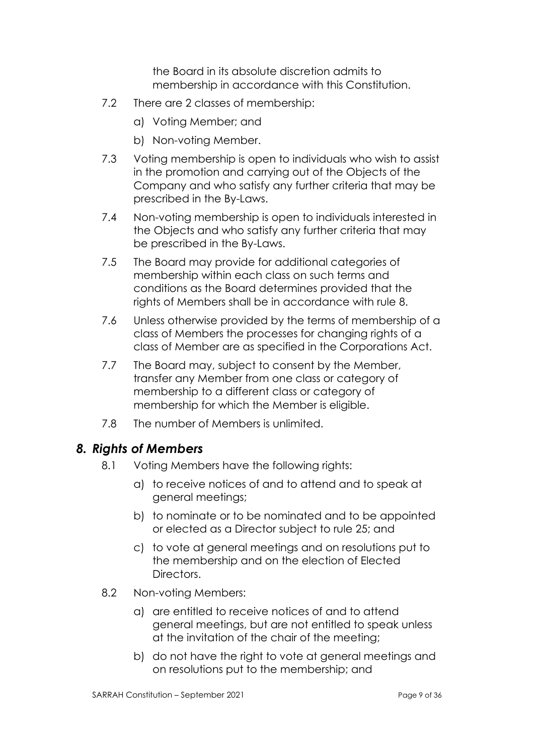the Board in its absolute discretion admits to membership in accordance with this Constitution.

- 7.2 There are 2 classes of membership:
	- a) Voting Member; and
	- b) Non-voting Member.
- 7.3 Voting membership is open to individuals who wish to assist in the promotion and carrying out of the Objects of the Company and who satisfy any further criteria that may be prescribed in the By-Laws.
- 7.4 Non-voting membership is open to individuals interested in the Objects and who satisfy any further criteria that may be prescribed in the By-Laws.
- 7.5 The Board may provide for additional categories of membership within each class on such terms and conditions as the Board determines provided that the rights of Members shall be in accordance with rule 8.
- 7.6 Unless otherwise provided by the terms of membership of a class of Members the processes for changing rights of a class of Member are as specified in the Corporations Act.
- 7.7 The Board may, subject to consent by the Member, transfer any Member from one class or category of membership to a different class or category of membership for which the Member is eligible.
- 7.8 The number of Members is unlimited.

# *8. Rights of Members*

- 8.1 Voting Members have the following rights:
	- a) to receive notices of and to attend and to speak at general meetings;
	- b) to nominate or to be nominated and to be appointed or elected as a Director subject to rule 25; and
	- c) to vote at general meetings and on resolutions put to the membership and on the election of Elected Directors.
- 8.2 Non-voting Members:
	- a) are entitled to receive notices of and to attend general meetings, but are not entitled to speak unless at the invitation of the chair of the meeting;
	- b) do not have the right to vote at general meetings and on resolutions put to the membership; and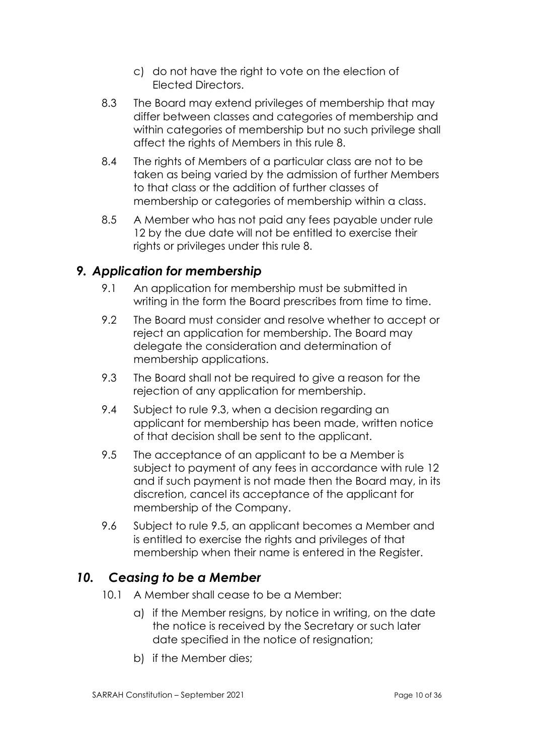- c) do not have the right to vote on the election of Elected Directors.
- 8.3 The Board may extend privileges of membership that may differ between classes and categories of membership and within categories of membership but no such privilege shall affect the rights of Members in this rule 8.
- 8.4 The rights of Members of a particular class are not to be taken as being varied by the admission of further Members to that class or the addition of further classes of membership or categories of membership within a class.
- 8.5 A Member who has not paid any fees payable under rule 12 by the due date will not be entitled to exercise their rights or privileges under this rule 8.

# *9. Application for membership*

- 9.1 An application for membership must be submitted in writing in the form the Board prescribes from time to time.
- 9.2 The Board must consider and resolve whether to accept or reject an application for membership. The Board may delegate the consideration and determination of membership applications.
- 9.3 The Board shall not be required to give a reason for the rejection of any application for membership.
- 9.4 Subject to rule 9.3, when a decision regarding an applicant for membership has been made, written notice of that decision shall be sent to the applicant.
- 9.5 The acceptance of an applicant to be a Member is subject to payment of any fees in accordance with rule 12 and if such payment is not made then the Board may, in its discretion, cancel its acceptance of the applicant for membership of the Company.
- 9.6 Subject to rule 9.5, an applicant becomes a Member and is entitled to exercise the rights and privileges of that membership when their name is entered in the Register.

# *10. Ceasing to be a Member*

- 10.1 A Member shall cease to be a Member:
	- a) if the Member resigns, by notice in writing, on the date the notice is received by the Secretary or such later date specified in the notice of resignation;
	- b) if the Member dies;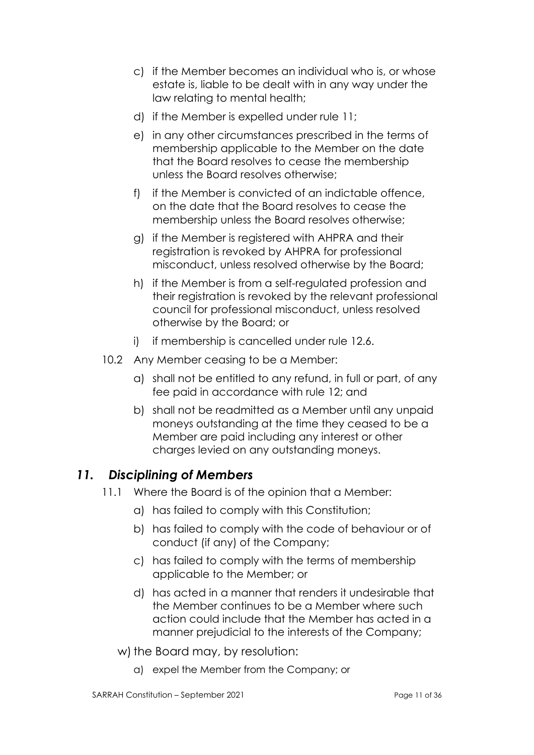- c) if the Member becomes an individual who is, or whose estate is, liable to be dealt with in any way under the law relating to mental health;
- d) if the Member is expelled under rule 11;
- e) in any other circumstances prescribed in the terms of membership applicable to the Member on the date that the Board resolves to cease the membership unless the Board resolves otherwise;
- f) if the Member is convicted of an indictable offence, on the date that the Board resolves to cease the membership unless the Board resolves otherwise;
- g) if the Member is registered with AHPRA and their registration is revoked by AHPRA for professional misconduct, unless resolved otherwise by the Board;
- h) if the Member is from a self-regulated profession and their registration is revoked by the relevant professional council for professional misconduct, unless resolved otherwise by the Board; or
- i) if membership is cancelled under rule 12.6.
- 10.2 Any Member ceasing to be a Member:
	- a) shall not be entitled to any refund, in full or part, of any fee paid in accordance with rule 12; and
	- b) shall not be readmitted as a Member until any unpaid moneys outstanding at the time they ceased to be a Member are paid including any interest or other charges levied on any outstanding moneys.

# *11. Disciplining of Members*

- 11.1 Where the Board is of the opinion that a Member:
	- a) has failed to comply with this Constitution;
	- b) has failed to comply with the code of behaviour or of conduct (if any) of the Company;
	- c) has failed to comply with the terms of membership applicable to the Member; or
	- d) has acted in a manner that renders it undesirable that the Member continues to be a Member where such action could include that the Member has acted in a manner prejudicial to the interests of the Company;
	- w) the Board may, by resolution:
		- a) expel the Member from the Company; or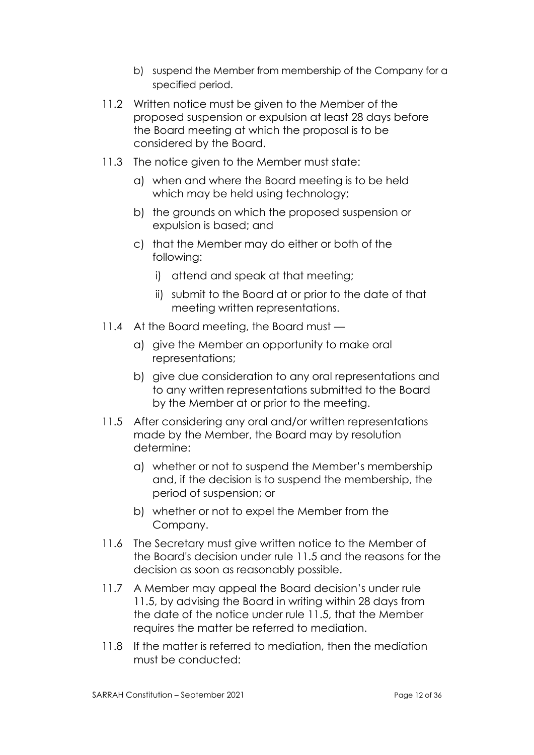- b) suspend the Member from membership of the Company for a specified period.
- 11.2 Written notice must be given to the Member of the proposed suspension or expulsion at least 28 days before the Board meeting at which the proposal is to be considered by the Board.
- 11.3 The notice given to the Member must state:
	- a) when and where the Board meeting is to be held which may be held using technology;
	- b) the grounds on which the proposed suspension or expulsion is based; and
	- c) that the Member may do either or both of the following:
		- i) attend and speak at that meeting;
		- ii) submit to the Board at or prior to the date of that meeting written representations.
- 11.4 At the Board meeting, the Board must
	- a) give the Member an opportunity to make oral representations;
	- b) give due consideration to any oral representations and to any written representations submitted to the Board by the Member at or prior to the meeting.
- 11.5 After considering any oral and/or written representations made by the Member, the Board may by resolution determine:
	- a) whether or not to suspend the Member's membership and, if the decision is to suspend the membership, the period of suspension; or
	- b) whether or not to expel the Member from the Company.
- 11.6 The Secretary must give written notice to the Member of the Board's decision under rule 11.5 and the reasons for the decision as soon as reasonably possible.
- 11.7 A Member may appeal the Board decision's under rule 11.5, by advising the Board in writing within 28 days from the date of the notice under rule 11.5, that the Member requires the matter be referred to mediation.
- 11.8 If the matter is referred to mediation, then the mediation must be conducted: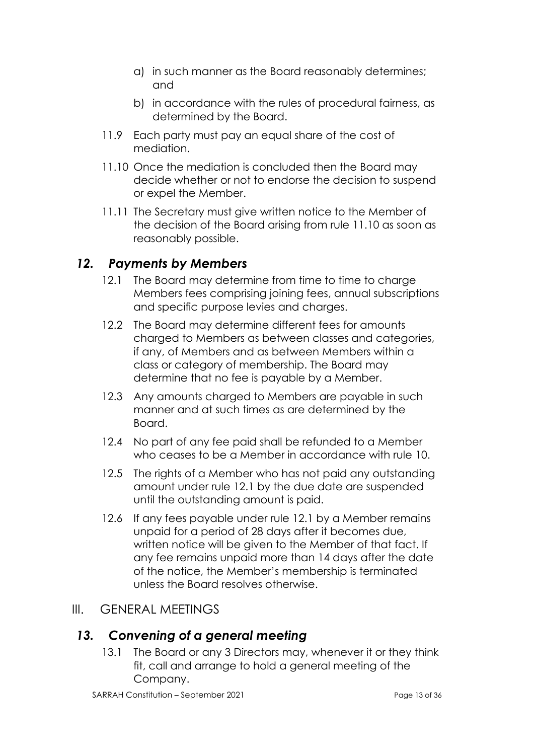- a) in such manner as the Board reasonably determines; and
- b) in accordance with the rules of procedural fairness, as determined by the Board.
- 11.9 Each party must pay an equal share of the cost of mediation.
- 11.10 Once the mediation is concluded then the Board may decide whether or not to endorse the decision to suspend or expel the Member.
- 11.11 The Secretary must give written notice to the Member of the decision of the Board arising from rule 11.10 as soon as reasonably possible.

# *12. Payments by Members*

- 12.1 The Board may determine from time to time to charge Members fees comprising joining fees, annual subscriptions and specific purpose levies and charges.
- 12.2 The Board may determine different fees for amounts charged to Members as between classes and categories, if any, of Members and as between Members within a class or category of membership. The Board may determine that no fee is payable by a Member.
- 12.3 Any amounts charged to Members are payable in such manner and at such times as are determined by the Board.
- 12.4 No part of any fee paid shall be refunded to a Member who ceases to be a Member in accordance with rule 10.
- 12.5 The rights of a Member who has not paid any outstanding amount under rule 12.1 by the due date are suspended until the outstanding amount is paid.
- 12.6 If any fees payable under rule 12.1 by a Member remains unpaid for a period of 28 days after it becomes due, written notice will be given to the Member of that fact. If any fee remains unpaid more than 14 days after the date of the notice, the Member's membership is terminated unless the Board resolves otherwise.

#### III. GENERAL MEETINGS

#### *13. Convening of a general meeting*

13.1 The Board or any 3 Directors may, whenever it or they think fit, call and arrange to hold a general meeting of the Company.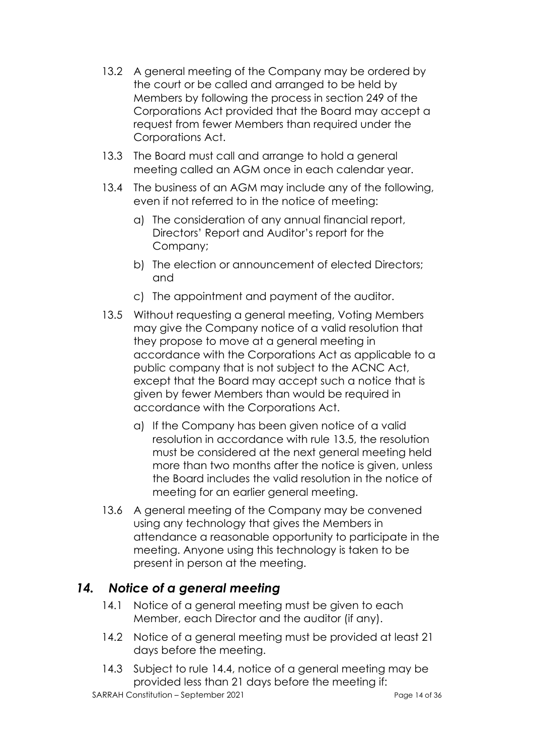- 13.2 A general meeting of the Company may be ordered by the court or be called and arranged to be held by Members by following the process in section 249 of the Corporations Act provided that the Board may accept a request from fewer Members than required under the Corporations Act.
- 13.3 The Board must call and arrange to hold a general meeting called an AGM once in each calendar year.
- 13.4 The business of an AGM may include any of the following, even if not referred to in the notice of meeting:
	- a) The consideration of any annual financial report, Directors' Report and Auditor's report for the Company;
	- b) The election or announcement of elected Directors; and
	- c) The appointment and payment of the auditor.
- 13.5 Without requesting a general meeting, Voting Members may give the Company notice of a valid resolution that they propose to move at a general meeting in accordance with the Corporations Act as applicable to a public company that is not subject to the ACNC Act, except that the Board may accept such a notice that is given by fewer Members than would be required in accordance with the Corporations Act.
	- a) If the Company has been given notice of a valid resolution in accordance with rule 13.5, the resolution must be considered at the next general meeting held more than two months after the notice is given, unless the Board includes the valid resolution in the notice of meeting for an earlier general meeting.
- 13.6 A general meeting of the Company may be convened using any technology that gives the Members in attendance a reasonable opportunity to participate in the meeting. Anyone using this technology is taken to be present in person at the meeting.

#### *14. Notice of a general meeting*

- 14.1 Notice of a general meeting must be given to each Member, each Director and the auditor (if any).
- 14.2 Notice of a general meeting must be provided at least 21 days before the meeting.
- 14.3 Subject to rule 14.4, notice of a general meeting may be provided less than 21 days before the meeting if:

SARRAH Constitution – September 2021 Page 14 of 36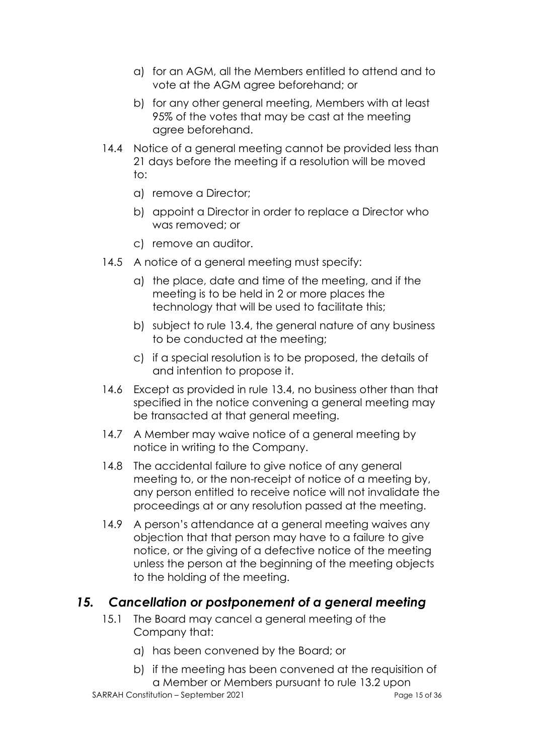- a) for an AGM, all the Members entitled to attend and to vote at the AGM agree beforehand; or
- b) for any other general meeting, Members with at least 95% of the votes that may be cast at the meeting agree beforehand.
- 14.4 Notice of a general meeting cannot be provided less than 21 days before the meeting if a resolution will be moved to:
	- a) remove a Director;
	- b) appoint a Director in order to replace a Director who was removed; or
	- c) remove an auditor.
- 14.5 A notice of a general meeting must specify:
	- a) the place, date and time of the meeting, and if the meeting is to be held in 2 or more places the technology that will be used to facilitate this;
	- b) subject to rule 13.4, the general nature of any business to be conducted at the meeting;
	- c) if a special resolution is to be proposed, the details of and intention to propose it.
- 14.6 Except as provided in rule 13.4, no business other than that specified in the notice convening a general meeting may be transacted at that general meeting.
- 14.7 A Member may waive notice of a general meeting by notice in writing to the Company.
- 14.8 The accidental failure to give notice of any general meeting to, or the non-receipt of notice of a meeting by, any person entitled to receive notice will not invalidate the proceedings at or any resolution passed at the meeting.
- 14.9 A person's attendance at a general meeting waives any objection that that person may have to a failure to give notice, or the giving of a defective notice of the meeting unless the person at the beginning of the meeting objects to the holding of the meeting.

#### *15. Cancellation or postponement of a general meeting*

- 15.1 The Board may cancel a general meeting of the Company that:
	- a) has been convened by the Board; or
	- b) if the meeting has been convened at the requisition of a Member or Members pursuant to rule 13.2 upon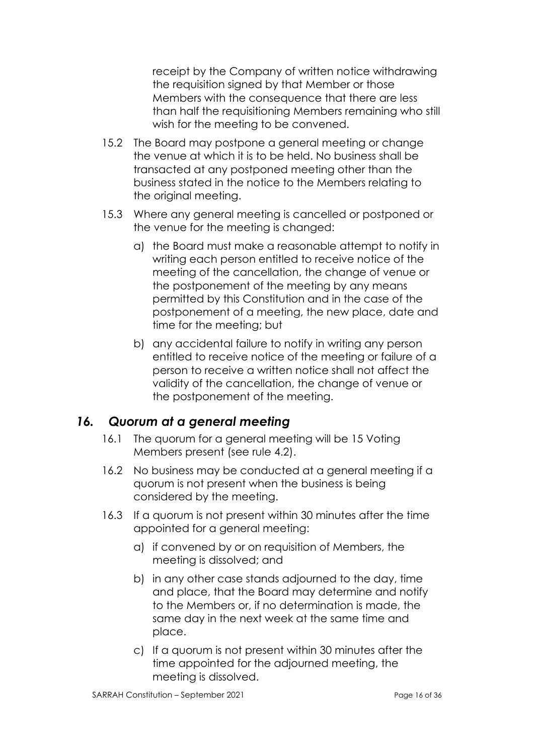receipt by the Company of written notice withdrawing the requisition signed by that Member or those Members with the consequence that there are less than half the requisitioning Members remaining who still wish for the meeting to be convened.

- 15.2 The Board may postpone a general meeting or change the venue at which it is to be held. No business shall be transacted at any postponed meeting other than the business stated in the notice to the Members relating to the original meeting.
- 15.3 Where any general meeting is cancelled or postponed or the venue for the meeting is changed:
	- a) the Board must make a reasonable attempt to notify in writing each person entitled to receive notice of the meeting of the cancellation, the change of venue or the postponement of the meeting by any means permitted by this Constitution and in the case of the postponement of a meeting, the new place, date and time for the meeting; but
	- b) any accidental failure to notify in writing any person entitled to receive notice of the meeting or failure of a person to receive a written notice shall not affect the validity of the cancellation, the change of venue or the postponement of the meeting.

# *16. Quorum at a general meeting*

- 16.1 The quorum for a general meeting will be 15 Voting Members present (see rule 4.2).
- 16.2 No business may be conducted at a general meeting if a quorum is not present when the business is being considered by the meeting.
- 16.3 If a quorum is not present within 30 minutes after the time appointed for a general meeting:
	- a) if convened by or on requisition of Members, the meeting is dissolved; and
	- b) in any other case stands adjourned to the day, time and place, that the Board may determine and notify to the Members or, if no determination is made, the same day in the next week at the same time and place.
	- c) If a quorum is not present within 30 minutes after the time appointed for the adjourned meeting, the meeting is dissolved.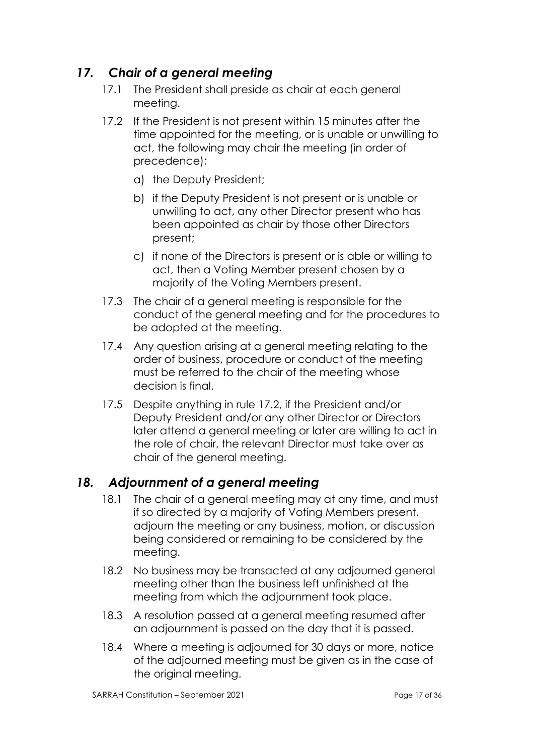# *17. Chair of a general meeting*

- 17.1 The President shall preside as chair at each general meeting.
- 17.2 If the President is not present within 15 minutes after the time appointed for the meeting, or is unable or unwilling to act, the following may chair the meeting (in order of precedence):
	- a) the Deputy President;
	- b) if the Deputy President is not present or is unable or unwilling to act, any other Director present who has been appointed as chair by those other Directors present;
	- c) if none of the Directors is present or is able or willing to act, then a Voting Member present chosen by a majority of the Voting Members present.
- 17.3 The chair of a general meeting is responsible for the conduct of the general meeting and for the procedures to be adopted at the meeting.
- 17.4 Any question arising at a general meeting relating to the order of business, procedure or conduct of the meeting must be referred to the chair of the meeting whose decision is final.
- 17.5 Despite anything in rule 17.2, if the President and/or Deputy President and/or any other Director or Directors later attend a general meeting or later are willing to act in the role of chair, the relevant Director must take over as chair of the general meeting.

# *18. Adjournment of a general meeting*

- 18.1 The chair of a general meeting may at any time, and must if so directed by a majority of Voting Members present, adjourn the meeting or any business, motion, or discussion being considered or remaining to be considered by the meeting.
- 18.2 No business may be transacted at any adjourned general meeting other than the business left unfinished at the meeting from which the adjournment took place.
- 18.3 A resolution passed at a general meeting resumed after an adjournment is passed on the day that it is passed.
- 18.4 Where a meeting is adjourned for 30 days or more, notice of the adjourned meeting must be given as in the case of the original meeting.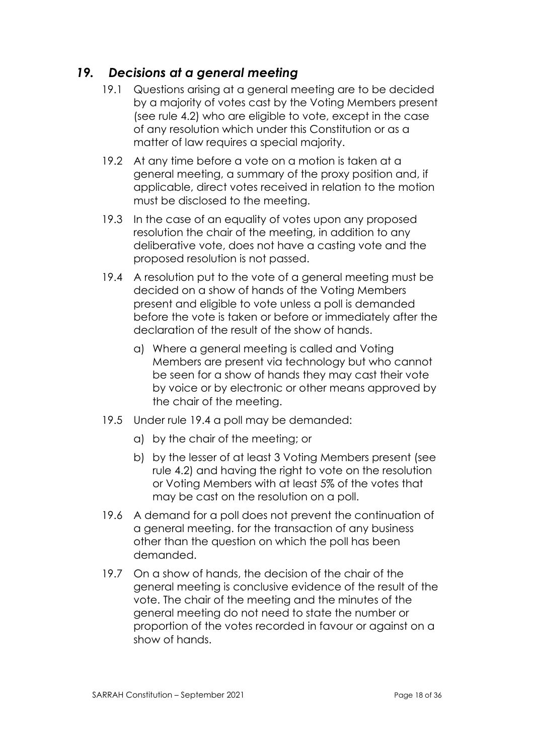# *19. Decisions at a general meeting*

- 19.1 Questions arising at a general meeting are to be decided by a majority of votes cast by the Voting Members present (see rule 4.2) who are eligible to vote, except in the case of any resolution which under this Constitution or as a matter of law requires a special majority.
- 19.2 At any time before a vote on a motion is taken at a general meeting, a summary of the proxy position and, if applicable, direct votes received in relation to the motion must be disclosed to the meeting.
- 19.3 In the case of an equality of votes upon any proposed resolution the chair of the meeting, in addition to any deliberative vote, does not have a casting vote and the proposed resolution is not passed.
- 19.4 A resolution put to the vote of a general meeting must be decided on a show of hands of the Voting Members present and eligible to vote unless a poll is demanded before the vote is taken or before or immediately after the declaration of the result of the show of hands.
	- a) Where a general meeting is called and Voting Members are present via technology but who cannot be seen for a show of hands they may cast their vote by voice or by electronic or other means approved by the chair of the meeting.
- 19.5 Under rule 19.4 a poll may be demanded:
	- a) by the chair of the meeting; or
	- b) by the lesser of at least 3 Voting Members present (see rule 4.2) and having the right to vote on the resolution or Voting Members with at least 5% of the votes that may be cast on the resolution on a poll.
- 19.6 A demand for a poll does not prevent the continuation of a general meeting. for the transaction of any business other than the question on which the poll has been demanded.
- 19.7 On a show of hands, the decision of the chair of the general meeting is conclusive evidence of the result of the vote. The chair of the meeting and the minutes of the general meeting do not need to state the number or proportion of the votes recorded in favour or against on a show of hands.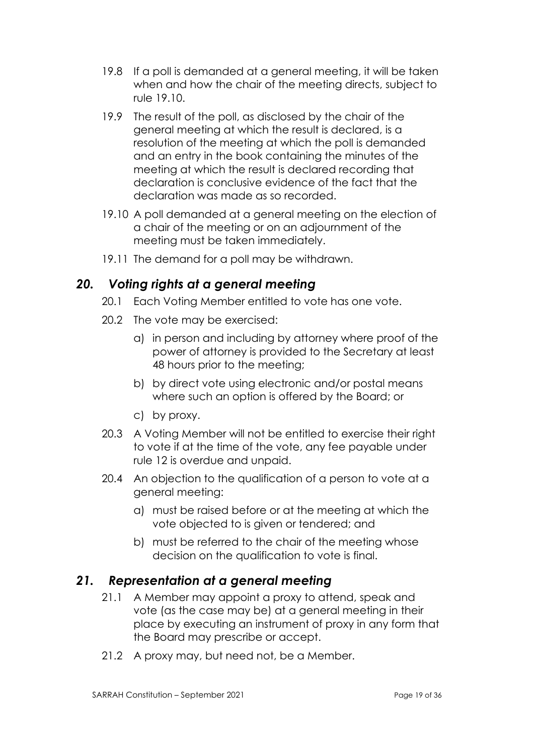- 19.8 If a poll is demanded at a general meeting, it will be taken when and how the chair of the meeting directs, subject to rule 19.10.
- 19.9 The result of the poll, as disclosed by the chair of the general meeting at which the result is declared, is a resolution of the meeting at which the poll is demanded and an entry in the book containing the minutes of the meeting at which the result is declared recording that declaration is conclusive evidence of the fact that the declaration was made as so recorded.
- 19.10 A poll demanded at a general meeting on the election of a chair of the meeting or on an adjournment of the meeting must be taken immediately.
- 19.11 The demand for a poll may be withdrawn.

#### *20. Voting rights at a general meeting*

- 20.1 Each Voting Member entitled to vote has one vote.
- 20.2 The vote may be exercised:
	- a) in person and including by attorney where proof of the power of attorney is provided to the Secretary at least 48 hours prior to the meeting;
	- b) by direct vote using electronic and/or postal means where such an option is offered by the Board; or
	- c) by proxy.
- 20.3 A Voting Member will not be entitled to exercise their right to vote if at the time of the vote, any fee payable under rule 12 is overdue and unpaid.
- 20.4 An objection to the qualification of a person to vote at a general meeting:
	- a) must be raised before or at the meeting at which the vote objected to is given or tendered; and
	- b) must be referred to the chair of the meeting whose decision on the qualification to vote is final.

#### *21. Representation at a general meeting*

- 21.1 A Member may appoint a proxy to attend, speak and vote (as the case may be) at a general meeting in their place by executing an instrument of proxy in any form that the Board may prescribe or accept.
- 21.2 A proxy may, but need not, be a Member.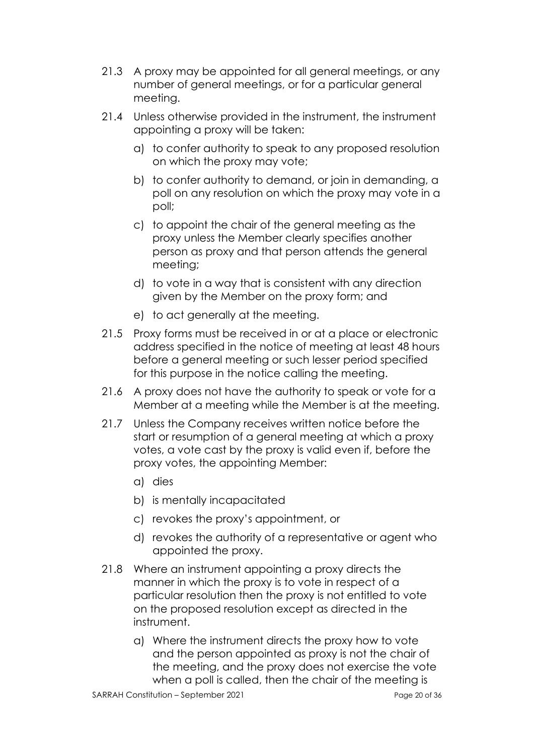- 21.3 A proxy may be appointed for all general meetings, or any number of general meetings, or for a particular general meeting.
- 21.4 Unless otherwise provided in the instrument, the instrument appointing a proxy will be taken:
	- a) to confer authority to speak to any proposed resolution on which the proxy may vote;
	- b) to confer authority to demand, or join in demanding, a poll on any resolution on which the proxy may vote in a poll;
	- c) to appoint the chair of the general meeting as the proxy unless the Member clearly specifies another person as proxy and that person attends the general meeting;
	- d) to vote in a way that is consistent with any direction given by the Member on the proxy form; and
	- e) to act generally at the meeting.
- 21.5 Proxy forms must be received in or at a place or electronic address specified in the notice of meeting at least 48 hours before a general meeting or such lesser period specified for this purpose in the notice calling the meeting.
- 21.6 A proxy does not have the authority to speak or vote for a Member at a meeting while the Member is at the meeting.
- 21.7 Unless the Company receives written notice before the start or resumption of a general meeting at which a proxy votes, a vote cast by the proxy is valid even if, before the proxy votes, the appointing Member:
	- a) dies
	- b) is mentally incapacitated
	- c) revokes the proxy's appointment, or
	- d) revokes the authority of a representative or agent who appointed the proxy.
- 21.8 Where an instrument appointing a proxy directs the manner in which the proxy is to vote in respect of a particular resolution then the proxy is not entitled to vote on the proposed resolution except as directed in the instrument.
	- a) Where the instrument directs the proxy how to vote and the person appointed as proxy is not the chair of the meeting, and the proxy does not exercise the vote when a poll is called, then the chair of the meeting is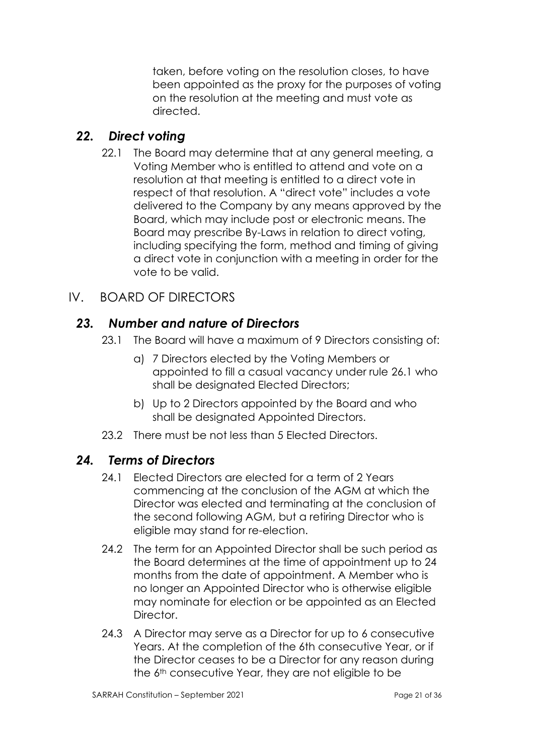taken, before voting on the resolution closes, to have been appointed as the proxy for the purposes of voting on the resolution at the meeting and must vote as directed.

# *22. Direct voting*

22.1 The Board may determine that at any general meeting, a Voting Member who is entitled to attend and vote on a resolution at that meeting is entitled to a direct vote in respect of that resolution. A "direct vote" includes a vote delivered to the Company by any means approved by the Board, which may include post or electronic means. The Board may prescribe By-Laws in relation to direct voting, including specifying the form, method and timing of giving a direct vote in conjunction with a meeting in order for the vote to be valid.

# IV. BOARD OF DIRECTORS

### *23. Number and nature of Directors*

- 23.1 The Board will have a maximum of 9 Directors consisting of:
	- a) 7 Directors elected by the Voting Members or appointed to fill a casual vacancy under rule 26.1 who shall be designated Elected Directors;
	- b) Up to 2 Directors appointed by the Board and who shall be designated Appointed Directors.
- 23.2 There must be not less than 5 Elected Directors.

# *24. Terms of Directors*

- 24.1 Elected Directors are elected for a term of 2 Years commencing at the conclusion of the AGM at which the Director was elected and terminating at the conclusion of the second following AGM, but a retiring Director who is eligible may stand for re-election.
- 24.2 The term for an Appointed Director shall be such period as the Board determines at the time of appointment up to 24 months from the date of appointment. A Member who is no longer an Appointed Director who is otherwise eligible may nominate for election or be appointed as an Elected **Director**
- 24.3 A Director may serve as a Director for up to 6 consecutive Years. At the completion of the 6th consecutive Year, or if the Director ceases to be a Director for any reason during the 6<sup>th</sup> consecutive Year, they are not eligible to be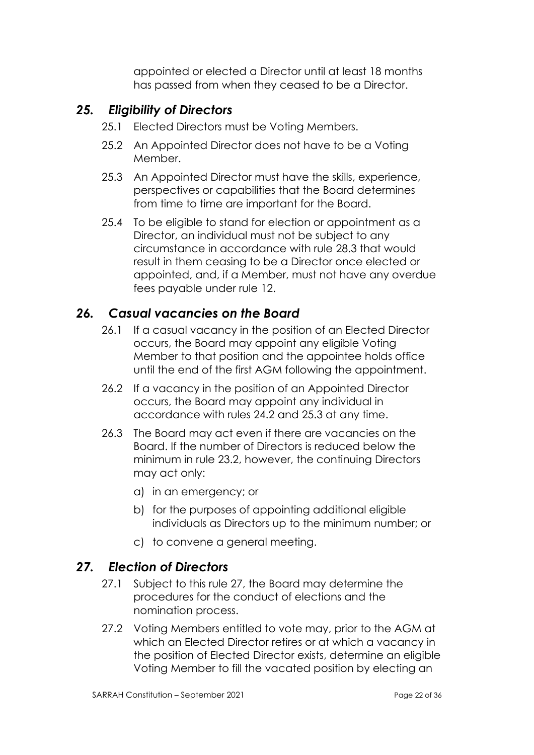appointed or elected a Director until at least 18 months has passed from when they ceased to be a Director.

# *25. Eligibility of Directors*

- 25.1 Elected Directors must be Voting Members.
- 25.2 An Appointed Director does not have to be a Voting Member.
- 25.3 An Appointed Director must have the skills, experience, perspectives or capabilities that the Board determines from time to time are important for the Board.
- 25.4 To be eligible to stand for election or appointment as a Director, an individual must not be subject to any circumstance in accordance with rule 28.3 that would result in them ceasing to be a Director once elected or appointed, and, if a Member, must not have any overdue fees payable under rule 12.

# *26. Casual vacancies on the Board*

- 26.1 If a casual vacancy in the position of an Elected Director occurs, the Board may appoint any eligible Voting Member to that position and the appointee holds office until the end of the first AGM following the appointment.
- 26.2 If a vacancy in the position of an Appointed Director occurs, the Board may appoint any individual in accordance with rules 24.2 and 25.3 at any time.
- 26.3 The Board may act even if there are vacancies on the Board. If the number of Directors is reduced below the minimum in rule 23.2, however, the continuing Directors may act only:
	- a) in an emergency; or
	- b) for the purposes of appointing additional eligible individuals as Directors up to the minimum number; or
	- c) to convene a general meeting.

#### *27. Election of Directors*

- 27.1 Subject to this rule 27, the Board may determine the procedures for the conduct of elections and the nomination process.
- 27.2 Voting Members entitled to vote may, prior to the AGM at which an Elected Director retires or at which a vacancy in the position of Elected Director exists, determine an eligible Voting Member to fill the vacated position by electing an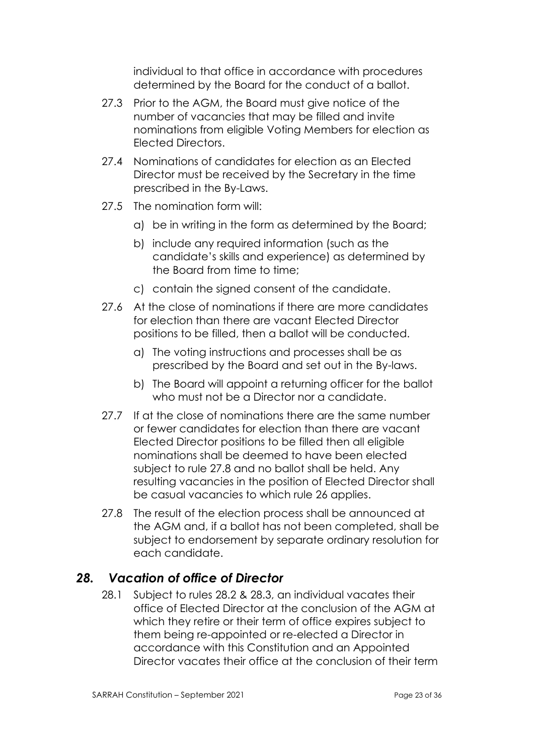individual to that office in accordance with procedures determined by the Board for the conduct of a ballot.

- 27.3 Prior to the AGM, the Board must give notice of the number of vacancies that may be filled and invite nominations from eligible Voting Members for election as Elected Directors.
- 27.4 Nominations of candidates for election as an Elected Director must be received by the Secretary in the time prescribed in the By-Laws.
- 27.5 The nomination form will:
	- a) be in writing in the form as determined by the Board;
	- b) include any required information (such as the candidate's skills and experience) as determined by the Board from time to time;
	- c) contain the signed consent of the candidate.
- 27.6 At the close of nominations if there are more candidates for election than there are vacant Elected Director positions to be filled, then a ballot will be conducted.
	- a) The voting instructions and processes shall be as prescribed by the Board and set out in the By-laws.
	- b) The Board will appoint a returning officer for the ballot who must not be a Director nor a candidate.
- 27.7 If at the close of nominations there are the same number or fewer candidates for election than there are vacant Elected Director positions to be filled then all eligible nominations shall be deemed to have been elected subject to rule 27.8 and no ballot shall be held. Any resulting vacancies in the position of Elected Director shall be casual vacancies to which rule 26 applies.
- 27.8 The result of the election process shall be announced at the AGM and, if a ballot has not been completed, shall be subject to endorsement by separate ordinary resolution for each candidate.

# *28. Vacation of office of Director*

28.1 Subject to rules 28.2 & 28.3, an individual vacates their office of Elected Director at the conclusion of the AGM at which they retire or their term of office expires subject to them being re-appointed or re-elected a Director in accordance with this Constitution and an Appointed Director vacates their office at the conclusion of their term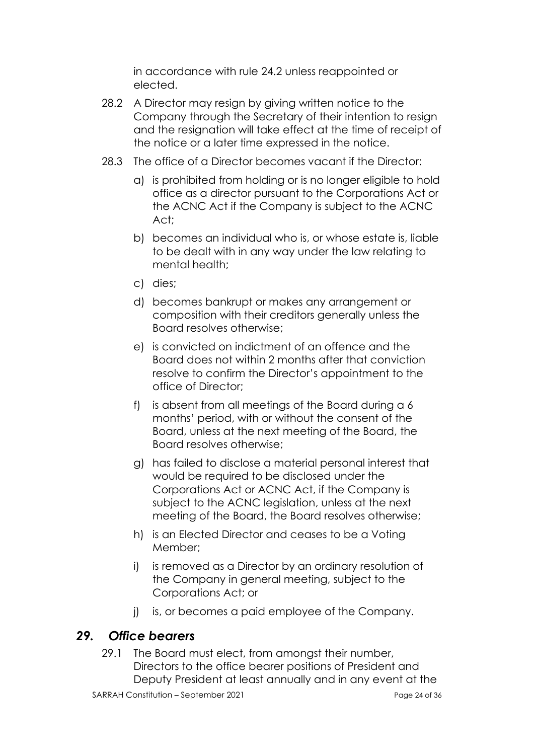in accordance with rule 24.2 unless reappointed or elected.

- 28.2 A Director may resign by giving written notice to the Company through the Secretary of their intention to resign and the resignation will take effect at the time of receipt of the notice or a later time expressed in the notice.
- 28.3 The office of a Director becomes vacant if the Director:
	- a) is prohibited from holding or is no longer eligible to hold office as a director pursuant to the Corporations Act or the ACNC Act if the Company is subject to the ACNC Act;
	- b) becomes an individual who is, or whose estate is, liable to be dealt with in any way under the law relating to mental health;
	- c) dies;
	- d) becomes bankrupt or makes any arrangement or composition with their creditors generally unless the Board resolves otherwise;
	- e) is convicted on indictment of an offence and the Board does not within 2 months after that conviction resolve to confirm the Director's appointment to the office of Director;
	- f) is absent from all meetings of the Board during a 6 months' period, with or without the consent of the Board, unless at the next meeting of the Board, the Board resolves otherwise;
	- g) has failed to disclose a material personal interest that would be required to be disclosed under the Corporations Act or ACNC Act, if the Company is subject to the ACNC legislation, unless at the next meeting of the Board, the Board resolves otherwise;
	- h) is an Elected Director and ceases to be a Voting Member;
	- i) is removed as a Director by an ordinary resolution of the Company in general meeting, subject to the Corporations Act; or
	- j) is, or becomes a paid employee of the Company.

#### *29. Office bearers*

29.1 The Board must elect, from amongst their number, Directors to the office bearer positions of President and Deputy President at least annually and in any event at the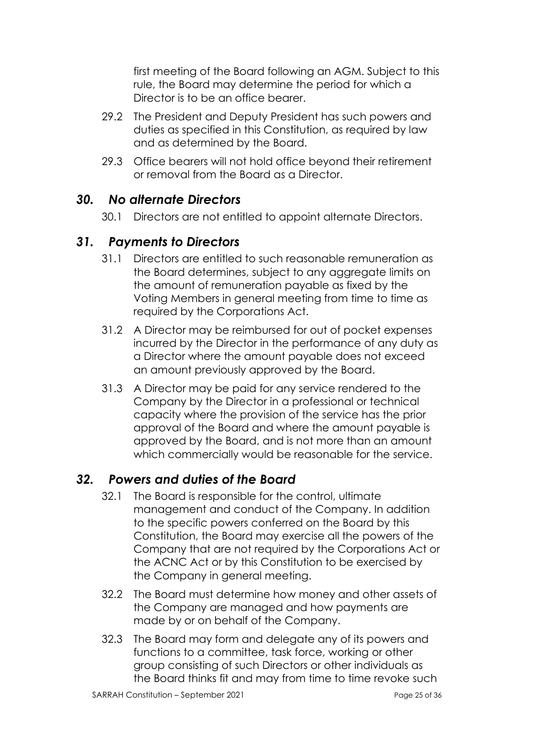first meeting of the Board following an AGM. Subject to this rule, the Board may determine the period for which a Director is to be an office bearer.

- 29.2 The President and Deputy President has such powers and duties as specified in this Constitution, as required by law and as determined by the Board.
- 29.3 Office bearers will not hold office beyond their retirement or removal from the Board as a Director.

### *30. No alternate Directors*

30.1 Directors are not entitled to appoint alternate Directors.

### *31. Payments to Directors*

- 31.1 Directors are entitled to such reasonable remuneration as the Board determines, subject to any aggregate limits on the amount of remuneration payable as fixed by the Voting Members in general meeting from time to time as required by the Corporations Act.
- 31.2 A Director may be reimbursed for out of pocket expenses incurred by the Director in the performance of any duty as a Director where the amount payable does not exceed an amount previously approved by the Board.
- 31.3 A Director may be paid for any service rendered to the Company by the Director in a professional or technical capacity where the provision of the service has the prior approval of the Board and where the amount payable is approved by the Board, and is not more than an amount which commercially would be reasonable for the service.

# *32. Powers and duties of the Board*

- 32.1 The Board is responsible for the control, ultimate management and conduct of the Company. In addition to the specific powers conferred on the Board by this Constitution, the Board may exercise all the powers of the Company that are not required by the Corporations Act or the ACNC Act or by this Constitution to be exercised by the Company in general meeting.
- 32.2 The Board must determine how money and other assets of the Company are managed and how payments are made by or on behalf of the Company.
- 32.3 The Board may form and delegate any of its powers and functions to a committee, task force, working or other group consisting of such Directors or other individuals as the Board thinks fit and may from time to time revoke such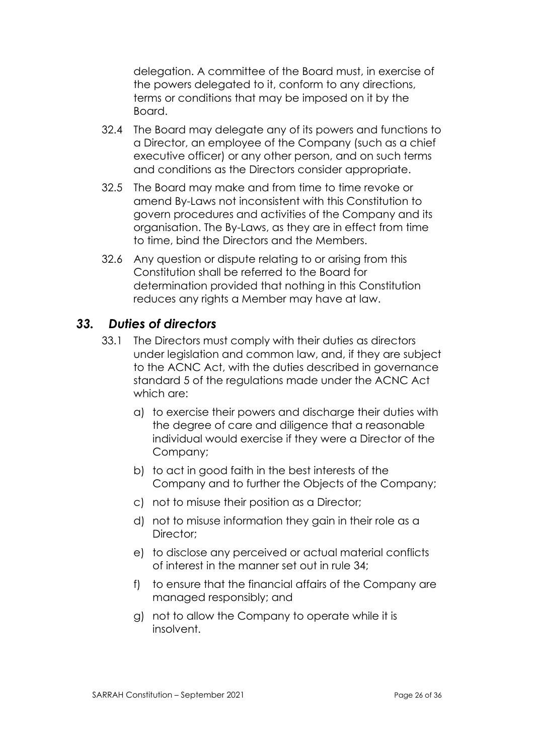delegation. A committee of the Board must, in exercise of the powers delegated to it, conform to any directions, terms or conditions that may be imposed on it by the Board.

- 32.4 The Board may delegate any of its powers and functions to a Director, an employee of the Company (such as a chief executive officer) or any other person, and on such terms and conditions as the Directors consider appropriate.
- 32.5 The Board may make and from time to time revoke or amend By-Laws not inconsistent with this Constitution to govern procedures and activities of the Company and its organisation. The By-Laws, as they are in effect from time to time, bind the Directors and the Members.
- 32.6 Any question or dispute relating to or arising from this Constitution shall be referred to the Board for determination provided that nothing in this Constitution reduces any rights a Member may have at law.

#### *33. Duties of directors*

- 33.1 The Directors must comply with their duties as directors under legislation and common law, and, if they are subject to the ACNC Act, with the duties described in governance standard 5 of the regulations made under the ACNC Act which are:
	- a) to exercise their powers and discharge their duties with the degree of care and diligence that a reasonable individual would exercise if they were a Director of the Company;
	- b) to act in good faith in the best interests of the Company and to further the Objects of the Company;
	- c) not to misuse their position as a Director;
	- d) not to misuse information they gain in their role as a Director;
	- e) to disclose any perceived or actual material conflicts of interest in the manner set out in rule 34;
	- f) to ensure that the financial affairs of the Company are managed responsibly; and
	- g) not to allow the Company to operate while it is insolvent.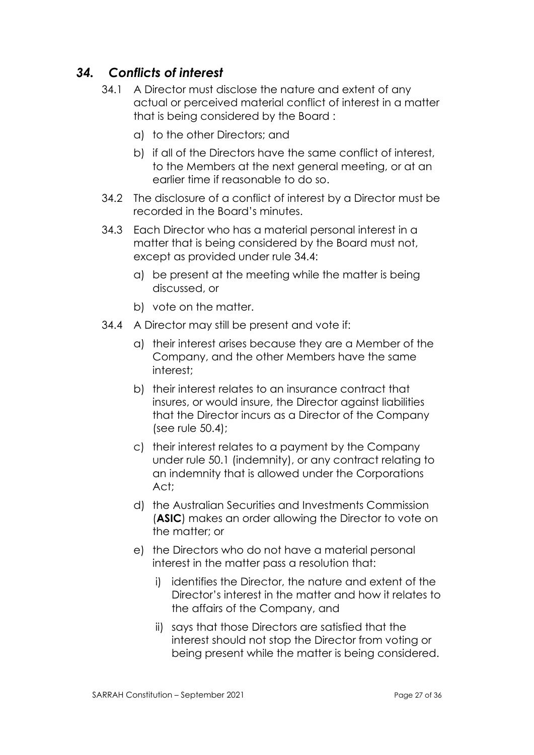# *34. Conflicts of interest*

- 34.1 A Director must disclose the nature and extent of any actual or perceived material conflict of interest in a matter that is being considered by the Board :
	- a) to the other Directors; and
	- b) if all of the Directors have the same conflict of interest, to the Members at the next general meeting, or at an earlier time if reasonable to do so.
- 34.2 The disclosure of a conflict of interest by a Director must be recorded in the Board's minutes.
- 34.3 Each Director who has a material personal interest in a matter that is being considered by the Board must not, except as provided under rule 34.4:
	- a) be present at the meeting while the matter is being discussed, or
	- b) vote on the matter.
- 34.4 A Director may still be present and vote if:
	- a) their interest arises because they are a Member of the Company, and the other Members have the same interest;
	- b) their interest relates to an insurance contract that insures, or would insure, the Director against liabilities that the Director incurs as a Director of the Company (see rule 50.4);
	- c) their interest relates to a payment by the Company under rule 50.1 (indemnity), or any contract relating to an indemnity that is allowed under the Corporations Act;
	- d) the Australian Securities and Investments Commission (**ASIC**) makes an order allowing the Director to vote on the matter; or
	- e) the Directors who do not have a material personal interest in the matter pass a resolution that:
		- i) identifies the Director, the nature and extent of the Director's interest in the matter and how it relates to the affairs of the Company, and
		- ii) says that those Directors are satisfied that the interest should not stop the Director from voting or being present while the matter is being considered.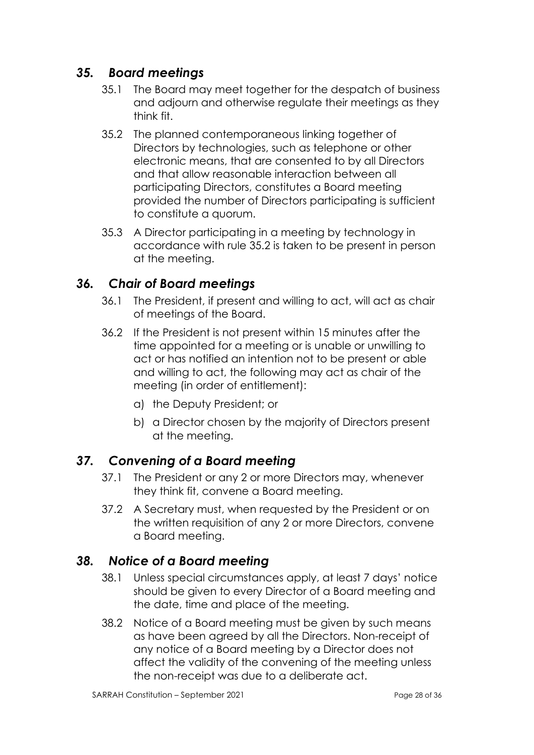# *35. Board meetings*

- 35.1 The Board may meet together for the despatch of business and adjourn and otherwise regulate their meetings as they think fit.
- 35.2 The planned contemporaneous linking together of Directors by technologies, such as telephone or other electronic means, that are consented to by all Directors and that allow reasonable interaction between all participating Directors, constitutes a Board meeting provided the number of Directors participating is sufficient to constitute a quorum.
- 35.3 A Director participating in a meeting by technology in accordance with rule 35.2 is taken to be present in person at the meeting.

### *36. Chair of Board meetings*

- 36.1 The President, if present and willing to act, will act as chair of meetings of the Board.
- 36.2 If the President is not present within 15 minutes after the time appointed for a meeting or is unable or unwilling to act or has notified an intention not to be present or able and willing to act, the following may act as chair of the meeting (in order of entitlement):
	- a) the Deputy President; or
	- b) a Director chosen by the majority of Directors present at the meeting.

# *37. Convening of a Board meeting*

- 37.1 The President or any 2 or more Directors may, whenever they think fit, convene a Board meeting.
- 37.2 A Secretary must, when requested by the President or on the written requisition of any 2 or more Directors, convene a Board meeting.

# *38. Notice of a Board meeting*

- 38.1 Unless special circumstances apply, at least 7 days' notice should be given to every Director of a Board meeting and the date, time and place of the meeting.
- 38.2 Notice of a Board meeting must be given by such means as have been agreed by all the Directors. Non-receipt of any notice of a Board meeting by a Director does not affect the validity of the convening of the meeting unless the non-receipt was due to a deliberate act.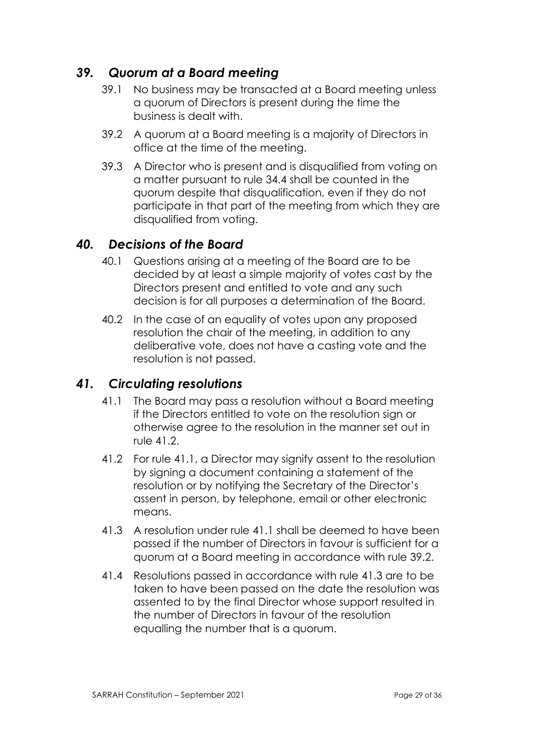# *39. Quorum at a Board meeting*

- 39.1 No business may be transacted at a Board meeting unless a quorum of Directors is present during the time the business is dealt with.
- 39.2 A quorum at a Board meeting is a majority of Directors in office at the time of the meeting.
- 39.3 A Director who is present and is disqualified from voting on a matter pursuant to rule 34.4 shall be counted in the quorum despite that disqualification, even if they do not participate in that part of the meeting from which they are disqualified from voting.

### *40. Decisions of the Board*

- 40.1 Questions arising at a meeting of the Board are to be decided by at least a simple majority of votes cast by the Directors present and entitled to vote and any such decision is for all purposes a determination of the Board.
- 40.2 In the case of an equality of votes upon any proposed resolution the chair of the meeting, in addition to any deliberative vote, does not have a casting vote and the resolution is not passed.

#### *41. Circulating resolutions*

- 41.1 The Board may pass a resolution without a Board meeting if the Directors entitled to vote on the resolution sign or otherwise agree to the resolution in the manner set out in rule 41.2.
- 41.2 For rule 41.1, a Director may signify assent to the resolution by signing a document containing a statement of the resolution or by notifying the Secretary of the Director's assent in person, by telephone, email or other electronic means
- 41.3 A resolution under rule 41.1 shall be deemed to have been passed if the number of Directors in favour is sufficient for a quorum at a Board meeting in accordance with rule 39.2.
- 41.4 Resolutions passed in accordance with rule 41.3 are to be taken to have been passed on the date the resolution was assented to by the final Director whose support resulted in the number of Directors in favour of the resolution equalling the number that is a quorum.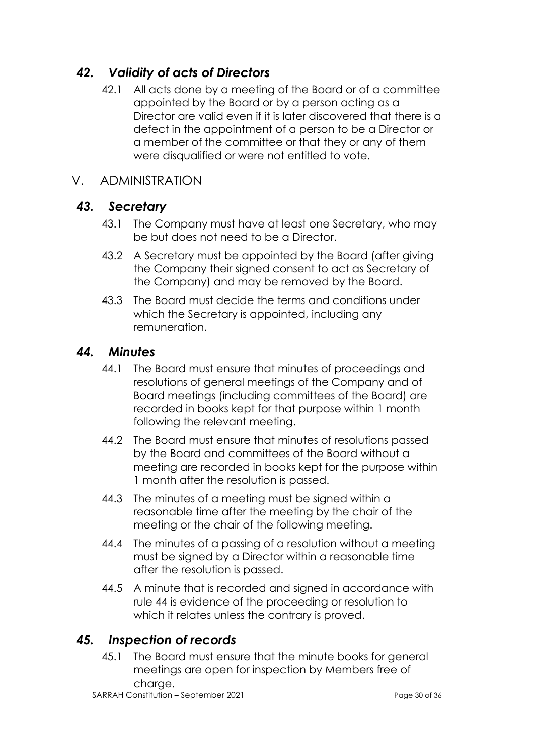# *42. Validity of acts of Directors*

42.1 All acts done by a meeting of the Board or of a committee appointed by the Board or by a person acting as a Director are valid even if it is later discovered that there is a defect in the appointment of a person to be a Director or a member of the committee or that they or any of them were disqualified or were not entitled to vote.

#### V. ADMINISTRATION

#### *43. Secretary*

- 43.1 The Company must have at least one Secretary, who may be but does not need to be a Director.
- 43.2 A Secretary must be appointed by the Board (after giving the Company their signed consent to act as Secretary of the Company) and may be removed by the Board.
- 43.3 The Board must decide the terms and conditions under which the Secretary is appointed, including any remuneration.

#### *44. Minutes*

- 44.1 The Board must ensure that minutes of proceedings and resolutions of general meetings of the Company and of Board meetings (including committees of the Board) are recorded in books kept for that purpose within 1 month following the relevant meeting.
- 44.2 The Board must ensure that minutes of resolutions passed by the Board and committees of the Board without a meeting are recorded in books kept for the purpose within 1 month after the resolution is passed.
- 44.3 The minutes of a meeting must be signed within a reasonable time after the meeting by the chair of the meeting or the chair of the following meeting.
- 44.4 The minutes of a passing of a resolution without a meeting must be signed by a Director within a reasonable time after the resolution is passed.
- 44.5 A minute that is recorded and signed in accordance with rule 44 is evidence of the proceeding or resolution to which it relates unless the contrary is proved.

# *45. Inspection of records*

45.1 The Board must ensure that the minute books for general meetings are open for inspection by Members free of charge.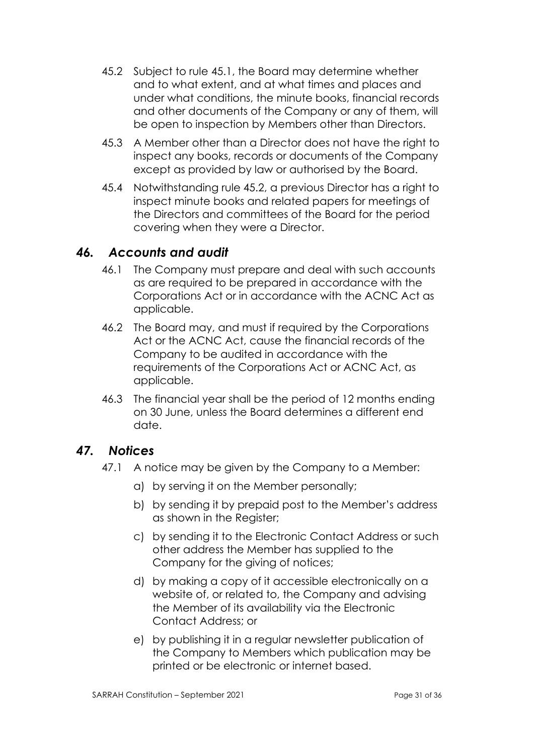- 45.2 Subject to rule 45.1, the Board may determine whether and to what extent, and at what times and places and under what conditions, the minute books, financial records and other documents of the Company or any of them, will be open to inspection by Members other than Directors.
- 45.3 A Member other than a Director does not have the right to inspect any books, records or documents of the Company except as provided by law or authorised by the Board.
- 45.4 Notwithstanding rule 45.2, a previous Director has a right to inspect minute books and related papers for meetings of the Directors and committees of the Board for the period covering when they were a Director.

### *46. Accounts and audit*

- 46.1 The Company must prepare and deal with such accounts as are required to be prepared in accordance with the Corporations Act or in accordance with the ACNC Act as applicable.
- 46.2 The Board may, and must if required by the Corporations Act or the ACNC Act, cause the financial records of the Company to be audited in accordance with the requirements of the Corporations Act or ACNC Act, as applicable.
- 46.3 The financial year shall be the period of 12 months ending on 30 June, unless the Board determines a different end date.

# *47. Notices*

- 47.1 A notice may be given by the Company to a Member:
	- a) by serving it on the Member personally;
	- b) by sending it by prepaid post to the Member's address as shown in the Register;
	- c) by sending it to the Electronic Contact Address or such other address the Member has supplied to the Company for the giving of notices;
	- d) by making a copy of it accessible electronically on a website of, or related to, the Company and advising the Member of its availability via the Electronic Contact Address; or
	- e) by publishing it in a regular newsletter publication of the Company to Members which publication may be printed or be electronic or internet based.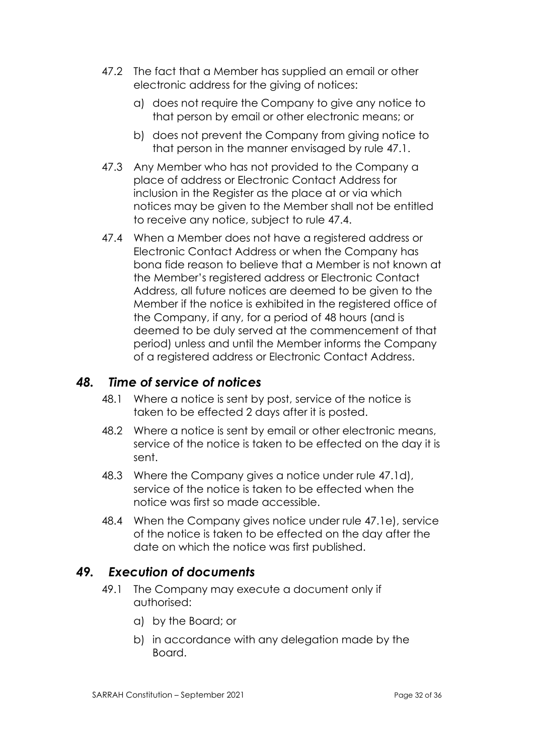- 47.2 The fact that a Member has supplied an email or other electronic address for the giving of notices:
	- a) does not require the Company to give any notice to that person by email or other electronic means; or
	- b) does not prevent the Company from giving notice to that person in the manner envisaged by rule 47.1.
- 47.3 Any Member who has not provided to the Company a place of address or Electronic Contact Address for inclusion in the Register as the place at or via which notices may be given to the Member shall not be entitled to receive any notice, subject to rule 47.4.
- 47.4 When a Member does not have a registered address or Electronic Contact Address or when the Company has bona fide reason to believe that a Member is not known at the Member's registered address or Electronic Contact Address, all future notices are deemed to be given to the Member if the notice is exhibited in the registered office of the Company, if any, for a period of 48 hours (and is deemed to be duly served at the commencement of that period) unless and until the Member informs the Company of a registered address or Electronic Contact Address.

### *48. Time of service of notices*

- 48.1 Where a notice is sent by post, service of the notice is taken to be effected 2 days after it is posted.
- 48.2 Where a notice is sent by email or other electronic means, service of the notice is taken to be effected on the day it is sent.
- 48.3 Where the Company gives a notice under rule 47.1d), service of the notice is taken to be effected when the notice was first so made accessible.
- 48.4 When the Company gives notice under rule 47.1e), service of the notice is taken to be effected on the day after the date on which the notice was first published.

# *49. Execution of documents*

- 49.1 The Company may execute a document only if authorised:
	- a) by the Board; or
	- b) in accordance with any delegation made by the Board.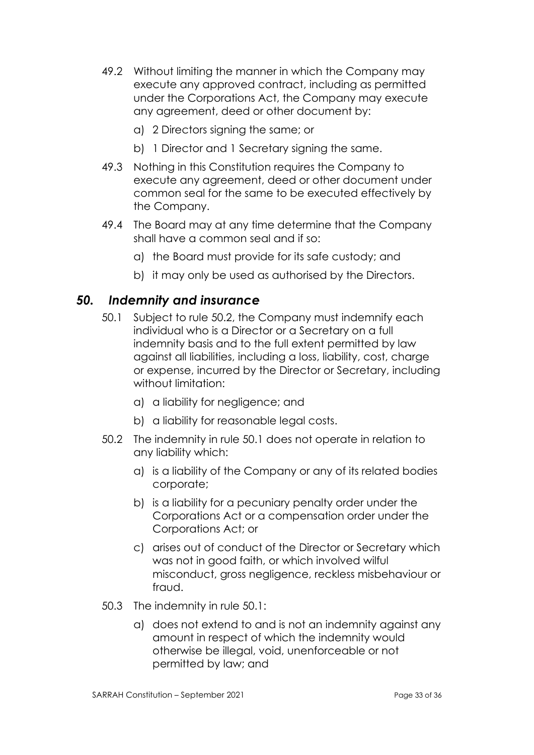- 49.2 Without limiting the manner in which the Company may execute any approved contract, including as permitted under the Corporations Act, the Company may execute any agreement, deed or other document by:
	- a) 2 Directors signing the same; or
	- b) 1 Director and 1 Secretary signing the same.
- 49.3 Nothing in this Constitution requires the Company to execute any agreement, deed or other document under common seal for the same to be executed effectively by the Company.
- 49.4 The Board may at any time determine that the Company shall have a common seal and if so:
	- a) the Board must provide for its safe custody; and
	- b) it may only be used as authorised by the Directors.

#### *50. Indemnity and insurance*

- 50.1 Subject to rule 50.2, the Company must indemnify each individual who is a Director or a Secretary on a full indemnity basis and to the full extent permitted by law against all liabilities, including a loss, liability, cost, charge or expense, incurred by the Director or Secretary, including without limitation:
	- a) a liability for negligence; and
	- b) a liability for reasonable legal costs.
- 50.2 The indemnity in rule 50.1 does not operate in relation to any liability which:
	- a) is a liability of the Company or any of its related bodies corporate;
	- b) is a liability for a pecuniary penalty order under the Corporations Act or a compensation order under the Corporations Act; or
	- c) arises out of conduct of the Director or Secretary which was not in good faith, or which involved wilful misconduct, gross negligence, reckless misbehaviour or fraud.
- 50.3 The indemnity in rule 50.1:
	- a) does not extend to and is not an indemnity against any amount in respect of which the indemnity would otherwise be illegal, void, unenforceable or not permitted by law; and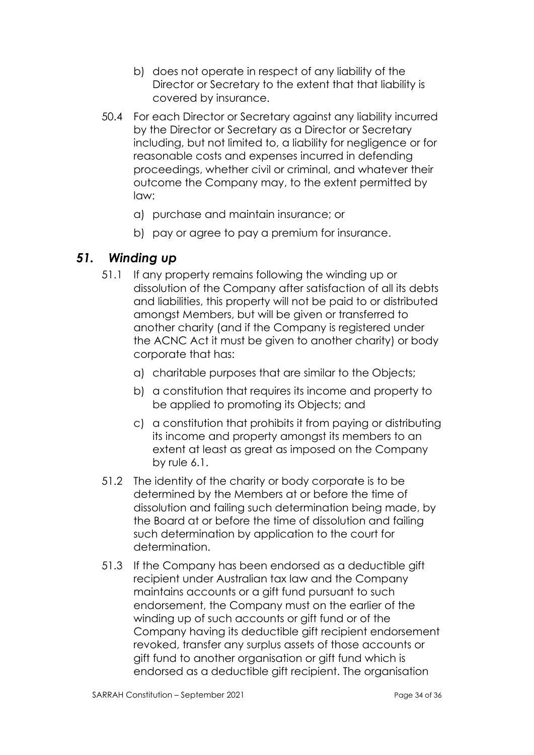- b) does not operate in respect of any liability of the Director or Secretary to the extent that that liability is covered by insurance.
- 50.4 For each Director or Secretary against any liability incurred by the Director or Secretary as a Director or Secretary including, but not limited to, a liability for negligence or for reasonable costs and expenses incurred in defending proceedings, whether civil or criminal, and whatever their outcome the Company may, to the extent permitted by law:
	- a) purchase and maintain insurance; or
	- b) pay or agree to pay a premium for insurance.

#### *51. Winding up*

- 51.1 If any property remains following the winding up or dissolution of the Company after satisfaction of all its debts and liabilities, this property will not be paid to or distributed amongst Members, but will be given or transferred to another charity (and if the Company is registered under the ACNC Act it must be given to another charity) or body corporate that has:
	- a) charitable purposes that are similar to the Objects;
	- b) a constitution that requires its income and property to be applied to promoting its Objects; and
	- c) a constitution that prohibits it from paying or distributing its income and property amongst its members to an extent at least as great as imposed on the Company by rule 6.1.
- 51.2 The identity of the charity or body corporate is to be determined by the Members at or before the time of dissolution and failing such determination being made, by the Board at or before the time of dissolution and failing such determination by application to the court for determination.
- 51.3 If the Company has been endorsed as a deductible gift recipient under Australian tax law and the Company maintains accounts or a gift fund pursuant to such endorsement, the Company must on the earlier of the winding up of such accounts or gift fund or of the Company having its deductible gift recipient endorsement revoked, transfer any surplus assets of those accounts or gift fund to another organisation or gift fund which is endorsed as a deductible gift recipient. The organisation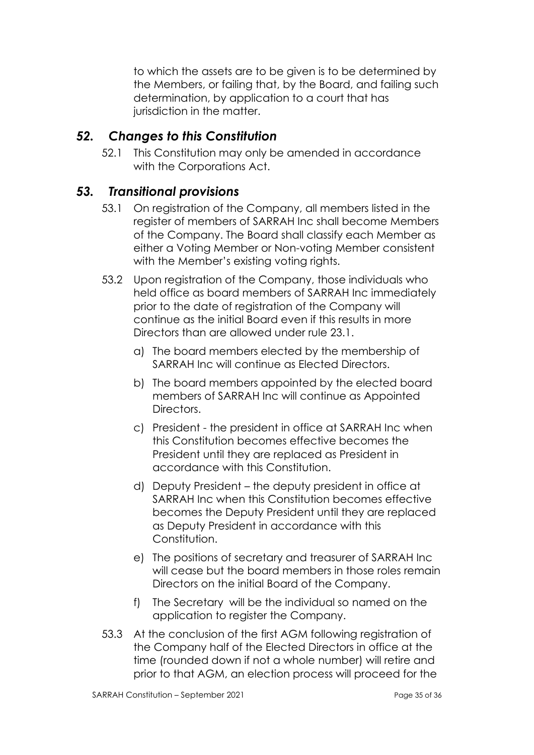to which the assets are to be given is to be determined by the Members, or failing that, by the Board, and failing such determination, by application to a court that has jurisdiction in the matter.

# *52. Changes to this Constitution*

52.1 This Constitution may only be amended in accordance with the Corporations Act.

### *53. Transitional provisions*

- 53.1 On registration of the Company, all members listed in the register of members of SARRAH Inc shall become Members of the Company. The Board shall classify each Member as either a Voting Member or Non-voting Member consistent with the Member's existing voting rights.
- 53.2 Upon registration of the Company, those individuals who held office as board members of SARRAH Inc immediately prior to the date of registration of the Company will continue as the initial Board even if this results in more Directors than are allowed under rule 23.1.
	- a) The board members elected by the membership of SARRAH Inc will continue as Elected Directors.
	- b) The board members appointed by the elected board members of SARRAH Inc will continue as Appointed Directors.
	- c) President the president in office at SARRAH Inc when this Constitution becomes effective becomes the President until they are replaced as President in accordance with this Constitution.
	- d) Deputy President the deputy president in office at SARRAH Inc when this Constitution becomes effective becomes the Deputy President until they are replaced as Deputy President in accordance with this Constitution.
	- e) The positions of secretary and treasurer of SARRAH Inc will cease but the board members in those roles remain Directors on the initial Board of the Company.
	- f) The Secretary will be the individual so named on the application to register the Company.
- 53.3 At the conclusion of the first AGM following registration of the Company half of the Elected Directors in office at the time (rounded down if not a whole number) will retire and prior to that AGM, an election process will proceed for the